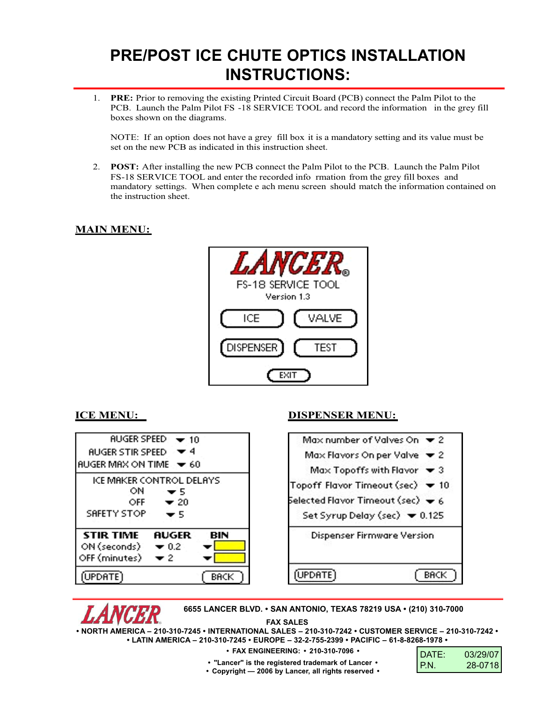## **PRE/POST ICE CHUTE OPTICS INSTALLATION INSTRUCTIONS:**

1. **PRE:** Prior to removing the existing Printed Circuit Board (PCB) connect the Palm Pilot to the PCB. Launch the Palm Pilot FS -18 SERVICE TOOL and record the information in the grey fill boxes shown on the diagrams.

NOTE: If an option does not have a grey fill box it is a mandatory setting and its value must be set on the new PCB as indicated in this instruction sheet.

2. **POST:** After installing the new PCB connect the Palm Pilot to the PCB. Launch the Palm Pilot FS-18 SERVICE TOOL and enter the recorded info rmation from the grey fill boxes and mandatory settings. When complete e ach menu screen should match the information contained on the instruction sheet.

## **MAIN MENU:**



## **ICE MENU: DISPENSER MENU:**



**6655 LANCER BLVD. • SAN ANTONIO, TEXAS 78219 USA • (210) 310-7000**

**FAX SALES**

**• NORTH AMERICA – 210-310-7245 • INTERNATIONAL SALES – 210-310-7242 • CUSTOMER SERVICE – 210-310-7242 • • LATIN AMERICA – 210-310-7245 • EUROPE – 32-2-755-2399 • PACIFIC – 61-8-8268-1978 •**

**• FAX ENGINEERING: • 210-310-7096 •**

- DATE: 03/29/07 P.N. 28-0718
- **"Lancer" is the registered trademark of Lancer • • Copyright — 2006 by Lancer, all rights reserved •**